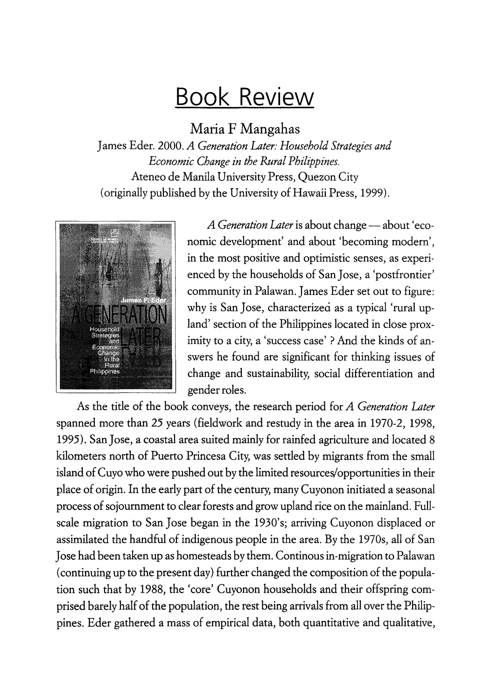## **Book Review**

Maria F Mangahas

James Eder. 2000. *A Generation Later: Household Strategies and Economic Change in the Rural Philippines.*  Ateneo de Manila University Press, Quezon City (originally published by the University of Hawaii Press, 1999).



*A Generation Later* is about change — about 'economic development' and about 'becoming modern', in the most positive and optimistic senses, as experienced by the households of San Jose, a 'postfrontier' community in Palawan. James Eder set out to figure: why is San Jose, characterized as a typical 'rural upland' section of the Philippines located in close proximity to a city, a 'success case'? And the kinds of answers he found are significant for thinking issues of change and sustainability, social differentiation and gender roles.

As the title of the book conveys, the research period for *A Generation Later*  spanned more than 25 years (fieldwork and restudy in the area in 1970-2, 1998, 1995). San Jose, a coastal area suited mainly for rainfed agriculture and located 8 kilometers north of Puerto Princesa City, was settled by migrants from the small island of Cuyo who were pushed out by the limited resources/opportunities in their place of origin. In the early part of the century, many Cuyonon initiated a seasonal process of sojournment to clear forests and grow upland rice on the mainland. Fullscale migration to San Jose began in the 1930's; arriving Cuyonon displaced or assimilated the handful of indigenous people in the area. By the 1970s, all of San Jose had been taken up as homesteads by them. Continous in-migration to Palawan (continuing up to the present day) further changed the composition of the population such that by 1988, the 'core' Cuyonon households and their offspring comprised barely half of the population, the rest being arrivals from all over the Philippines. Eder gathered a mass of empirical data, both quantitative and qualitative,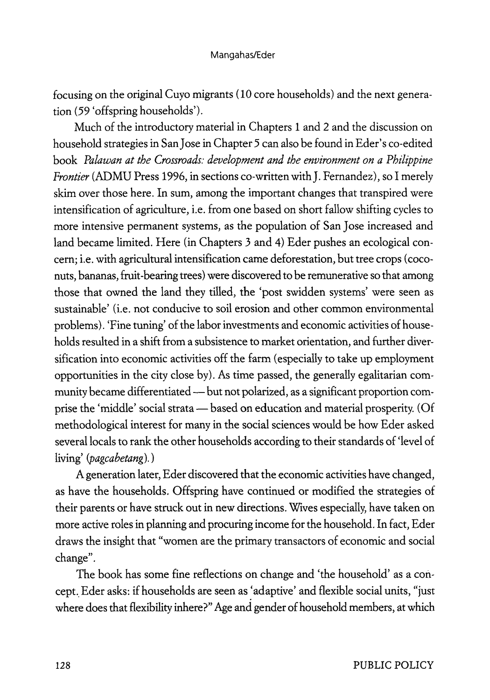focusing on the original Cuyo migrants ( 10 core households) and the next generation (59 'offspring households').

Much of the introductory material in Chapters 1 and 2 and the discussion on household strategies in San Jose in Chapter *5* can also be found in Eder's co-edited book *Palawan at the Crossroads: development and the environment on a Philippine Frontier* (ADMU Press 1996, in sections co-written with J. Fernandez), so I merely skim over those here. In sum, among the important changes that transpired were intensification of agriculture, i.e. from one based on short fallow shifting cycles to more intensive permanent systems, as the population of San Jose increased and land became limited. Here (in Chapters 3 and 4) Eder pushes an ecological concern; i.e. with agricultural intensification came deforestation, but tree crops (coconuts, bananas, fruit -bearing trees) were discovered to be remunerative so that among those that owned the land they tilled, the 'post swidden systems' were seen as sustainable' (i.e. not conducive to soil erosion and other common environmental problems). 'Fine tuning' of the labor investments and economic activities of households resulted in a shift from a subsistence to market orientation, and further diversification into economic activities off the farm (especially to take up employment opportunities in the city close by). As time passed, the generally egalitarian community became differentiated - but not polarized, as a significant proportion comprise the 'middle' social strata - based on education and material prosperity. (Of methodological interest for many in the social sciences would be how Eder asked several locals to rank the other households according to their standards of 'level of living' *(pagcabetang).)* 

A generation later, Eder discovered that the economic activities have changed, as have the households. Offspring have continued or modified the strategies of their parents or have struck out in new directions. Wives especially, have taken on more active roles in planning and procuring income for the household. In fact, Eder draws the insight that "women are the primary transactors of economic and social change".

The book has some fine reflections on change and 'the household' as a concept. Eder asks: if households are seen as 'adaptive' and flexible social units, "just where does that flexibility inhere?" Age and gender of household members, at which